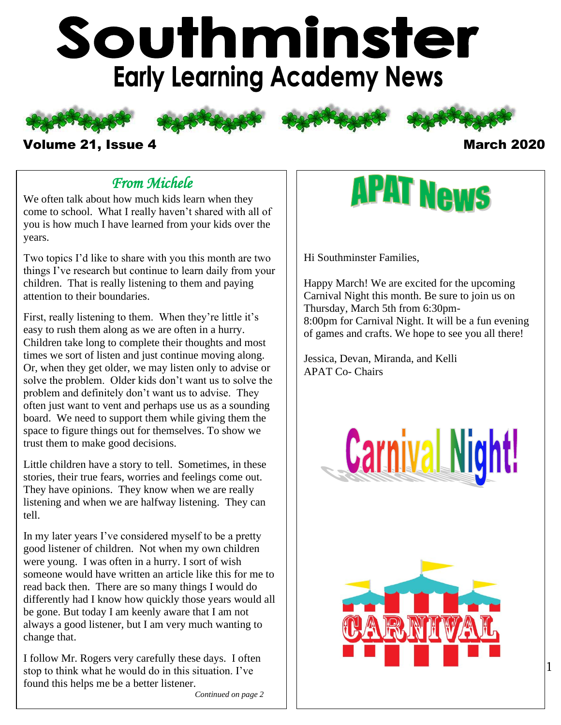# Southminster **Early Learning Academy News**







#### Volume 21, Issue 4 March 2020

# *From Michele*

We often talk about how much kids learn when they come to school. What I really haven't shared with all of you is how much I have learned from your kids over the years.

Two topics I'd like to share with you this month are two things I've research but continue to learn daily from your children. That is really listening to them and paying attention to their boundaries.

First, really listening to them. When they're little it's easy to rush them along as we are often in a hurry. Children take long to complete their thoughts and most times we sort of listen and just continue moving along. Or, when they get older, we may listen only to advise or solve the problem. Older kids don't want us to solve the problem and definitely don't want us to advise. They often just want to vent and perhaps use us as a sounding board. We need to support them while giving them the space to figure things out for themselves. To show we trust them to make good decisions.

Little children have a story to tell. Sometimes, in these stories, their true fears, worries and feelings come out. They have opinions. They know when we are really listening and when we are halfway listening. They can tell.

In my later years I've considered myself to be a pretty good listener of children. Not when my own children were young. I was often in a hurry. I sort of wish someone would have written an article like this for me to read back then. There are so many things I would do differently had I know how quickly those years would all be gone. But today I am keenly aware that I am not always a good listener, but I am very much wanting to change that.

I follow Mr. Rogers very carefully these days. I often stop to think what he would do in this situation. I've found this helps me be a better listener.

# **APAT News**

Hi Southminster Families,

Happy March! We are excited for the upcoming Carnival Night this month. Be sure to join us on Thursday, March 5th from 6:30pm-8:00pm for Carnival Night. It will be a fun evening of games and crafts. We hope to see you all there!

Jessica, Devan, Miranda, and Kelli APAT Co- Chairs



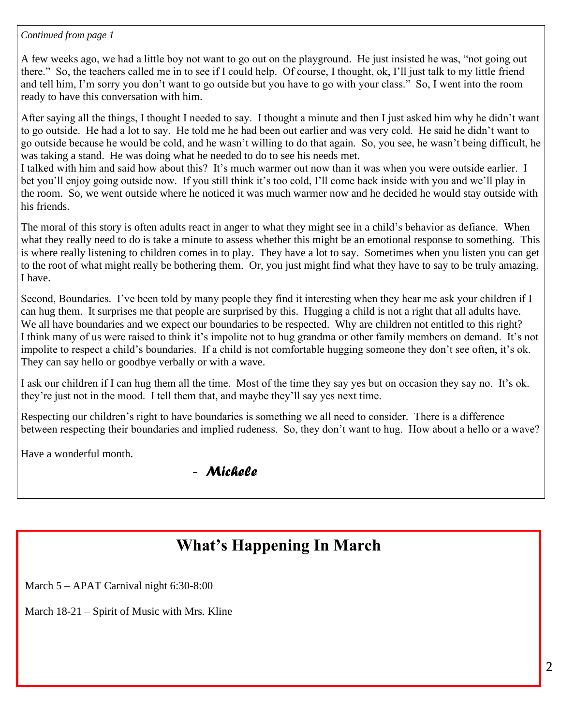#### *Continued from page 1*

A few weeks ago, we had a little boy not want to go out on the playground. He just insisted he was, "not going out there." So, the teachers called me in to see if I could help. Of course, I thought, ok, I'll just talk to my little friend and tell him, I'm sorry you don't want to go outside but you have to go with your class." So, I went into the room ready to have this conversation with him.

After saying all the things, I thought I needed to say. I thought a minute and then I just asked him why he didn't want to go outside. He had a lot to say. He told me he had been out earlier and was very cold. He said he didn't want to go outside because he would be cold, and he wasn't willing to do that again. So, you see, he wasn't being difficult, he was taking a stand. He was doing what he needed to do to see his needs met.

I talked with him and said how about this? It's much warmer out now than it was when you were outside earlier. I bet you'll enjoy going outside now. If you still think it's too cold, I'll come back inside with you and we'll play in the room. So, we went outside where he noticed it was much warmer now and he decided he would stay outside with his friends.

The moral of this story is often adults react in anger to what they might see in a child's behavior as defiance. When what they really need to do is take a minute to assess whether this might be an emotional response to something. This is where really listening to children comes in to play. They have a lot to say. Sometimes when you listen you can get to the root of what might really be bothering them. Or, you just might find what they have to say to be truly amazing. I have.

Second, Boundaries. I've been told by many people they find it interesting when they hear me ask your children if I can hug them. It surprises me that people are surprised by this. Hugging a child is not a right that all adults have. We all have boundaries and we expect our boundaries to be respected. Why are children not entitled to this right? I think many of us were raised to think it's impolite not to hug grandma or other family members on demand. It's not impolite to respect a child's boundaries. If a child is not comfortable hugging someone they don't see often, it's ok. They can say hello or goodbye verbally or with a wave.

I ask our children if I can hug them all the time. Most of the time they say yes but on occasion they say no. It's ok. they're just not in the mood. I tell them that, and maybe they'll say yes next time.

Respecting our children's right to have boundaries is something we all need to consider. There is a difference between respecting their boundaries and implied rudeness. So, they don't want to hug. How about a hello or a wave?

Have a wonderful month.

#### - *Michele*

# **What's Happening In March**

March 5 – APAT Carnival night 6:30-8:00

March 18-21 – Spirit of Music with Mrs. Kline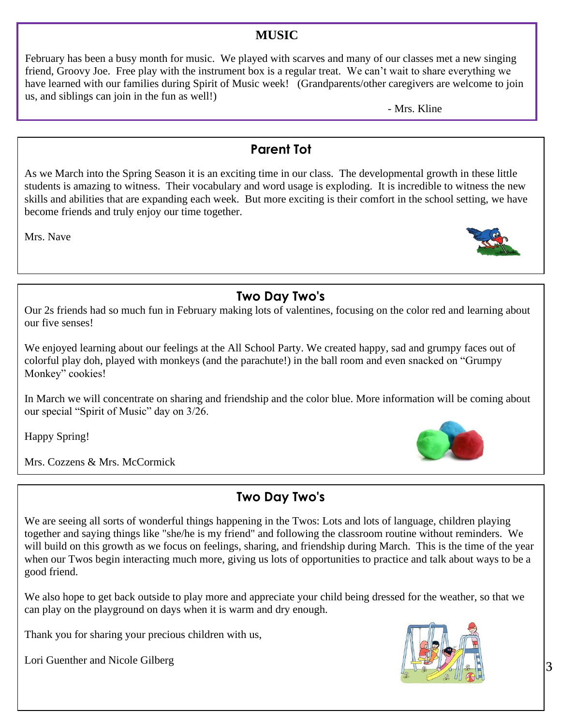#### **MUSIC**

February has been a busy month for music. We played with scarves and many of our classes met a new singing friend, Groovy Joe. Free play with the instrument box is a regular treat. We can't wait to share everything we have learned with our families during Spirit of Music week! (Grandparents/other caregivers are welcome to join us, and siblings can join in the fun as well!)

- Mrs. Kline

### **Parent Tot**

As we March into the Spring Season it is an exciting time in our class. The developmental growth in these little students is amazing to witness. Their vocabulary and word usage is exploding. It is incredible to witness the new skills and abilities that are expanding each week. But more exciting is their comfort in the school setting, we have become friends and truly enjoy our time together.

Mrs. Nave



# **Two Day Two's**

Our 2s friends had so much fun in February making lots of valentines, focusing on the color red and learning about our five senses!

We enjoyed learning about our feelings at the All School Party. We created happy, sad and grumpy faces out of colorful play doh, played with monkeys (and the parachute!) in the ball room and even snacked on "Grumpy Monkey" cookies!

In March we will concentrate on sharing and friendship and the color blue. More information will be coming about our special "Spirit of Music" day on 3/26.

Happy Spring!

Mrs. Cozzens & Mrs. McCormick

# **Two Day Two's**

We are seeing all sorts of wonderful things happening in the Twos: Lots and lots of language, children playing together and saying things like "she/he is my friend" and following the classroom routine without reminders. We will build on this growth as we focus on feelings, sharing, and friendship during March. This is the time of the year when our Twos begin interacting much more, giving us lots of opportunities to practice and talk about ways to be a good friend.

We also hope to get back outside to play more and appreciate your child being dressed for the weather, so that we can play on the playground on days when it is warm and dry enough.

Thank you for sharing your precious children with us,

Lori Guenther and Nicole Gilberg



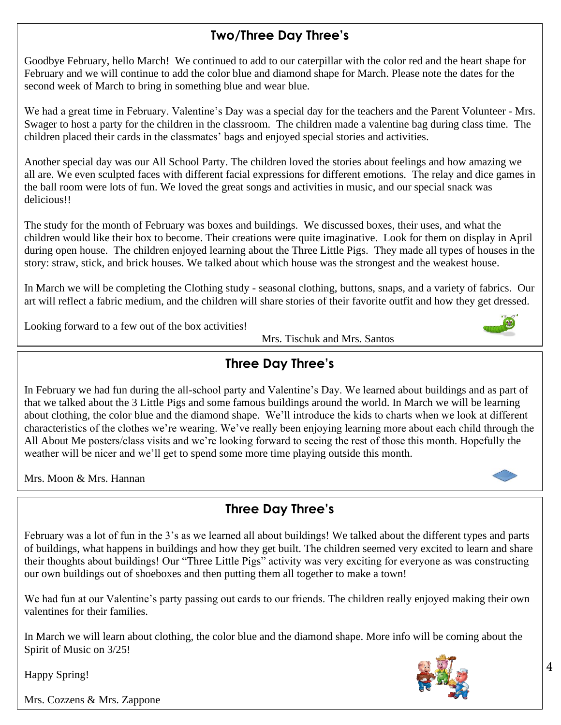# **Two/Three Day Three's**

Goodbye February, hello March! We continued to add to our caterpillar with the color red and the heart shape for February and we will continue to add the color blue and diamond shape for March. Please note the dates for the second week of March to bring in something blue and wear blue.

We had a great time in February. Valentine's Day was a special day for the teachers and the Parent Volunteer - Mrs. Swager to host a party for the children in the classroom. The children made a valentine bag during class time. The children placed their cards in the classmates' bags and enjoyed special stories and activities.

Another special day was our All School Party. The children loved the stories about feelings and how amazing we all are. We even sculpted faces with different facial expressions for different emotions. The relay and dice games in the ball room were lots of fun. We loved the great songs and activities in music, and our special snack was delicious!!

The study for the month of February was boxes and buildings. We discussed boxes, their uses, and what the children would like their box to become. Their creations were quite imaginative. Look for them on display in April during open house. The children enjoyed learning about the Three Little Pigs. They made all types of houses in the story: straw, stick, and brick houses. We talked about which house was the strongest and the weakest house.

In March we will be completing the Clothing study - seasonal clothing, buttons, snaps, and a variety of fabrics. Our art will reflect a fabric medium, and the children will share stories of their favorite outfit and how they get dressed.

Looking forward to a few out of the box activities!

Mrs. Tischuk and Mrs. Santos



# **Three Day Three's**

In February we had fun during the all-school party and Valentine's Day. We learned about buildings and as part of that we talked about the 3 Little Pigs and some famous buildings around the world. In March we will be learning about clothing, the color blue and the diamond shape. We'll introduce the kids to charts when we look at different characteristics of the clothes we're wearing. We've really been enjoying learning more about each child through the All About Me posters/class visits and we're looking forward to seeing the rest of those this month. Hopefully the weather will be nicer and we'll get to spend some more time playing outside this month.

Mrs. Moon & Mrs. Hannan

# **Three Day Three's**

 our own buildings out of shoeboxes and then putting them all together to make a town! February was a lot of fun in the 3's as we learned all about buildings! We talked about the different types and parts of buildings, what happens in buildings and how they get built. The children seemed very excited to learn and share their thoughts about buildings! Our "Three Little Pigs" activity was very exciting for everyone as was constructing

We had fun at our Valentine's party passing out cards to our friends. The children really enjoyed making their own valentines for their families.

In March we will learn about clothing, the color blue and the diamond shape. More info will be coming about the Spirit of Music on 3/25!



Happy Spring!

Mrs. Cozzens & Mrs. Zappone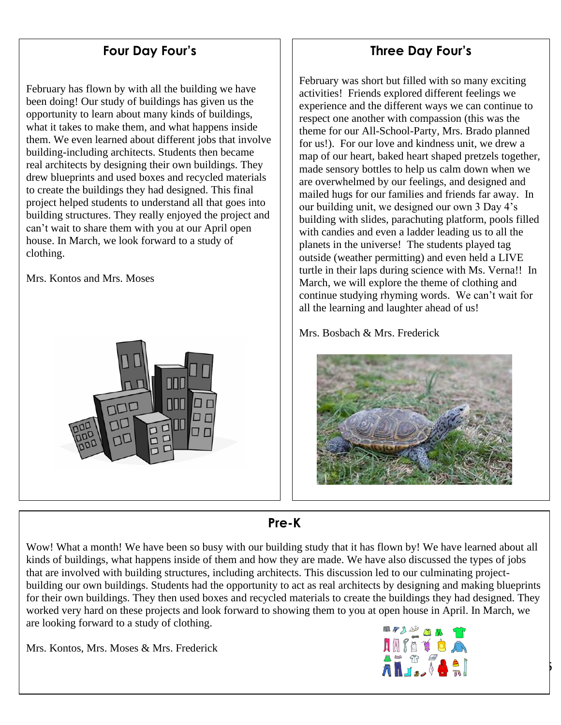## **Four Day Four's**

February has flown by with all the building we have been doing! Our study of buildings has given us the opportunity to learn about many kinds of buildings, what it takes to make them, and what happens inside them. We even learned about different jobs that involve building-including architects. Students then became real architects by designing their own buildings. They drew blueprints and used boxes and recycled materials to create the buildings they had designed. This final project helped students to understand all that goes into building structures. They really enjoyed the project and can't wait to share them with you at our April open house. In March, we look forward to a study of clothing.

Mrs. Kontos and Mrs. Moses



#### **Three Day Four's**

February was short but filled with so many exciting activities! Friends explored different feelings we experience and the different ways we can continue to respect one another with compassion (this was the theme for our All-School-Party, Mrs. Brado planned for us!). For our love and kindness unit, we drew a map of our heart, baked heart shaped pretzels together, made sensory bottles to help us calm down when we are overwhelmed by our feelings, and designed and mailed hugs for our families and friends far away. In our building unit, we designed our own 3 Day 4's building with slides, parachuting platform, pools filled with candies and even a ladder leading us to all the planets in the universe! The students played tag outside (weather permitting) and even held a LIVE turtle in their laps during science with Ms. Verna!! In March, we will explore the theme of clothing and continue studying rhyming words. We can't wait for all the learning and laughter ahead of us!

Mrs. Bosbach & Mrs. Frederick



#### **Pre-K**

Wow! What a month! We have been so busy with our building study that it has flown by! We have learned about all kinds of buildings, what happens inside of them and how they are made. We have also discussed the types of jobs that are involved with building structures, including architects. This discussion led to our culminating projectbuilding our own buildings. Students had the opportunity to act as real architects by designing and making blueprints for their own buildings. They then used boxes and recycled materials to create the buildings they had designed. They worked very hard on these projects and look forward to showing them to you at open house in April. In March, we are looking forward to a study of clothing.

Mrs. Kontos, Mrs. Moses & Mrs. Frederick



5